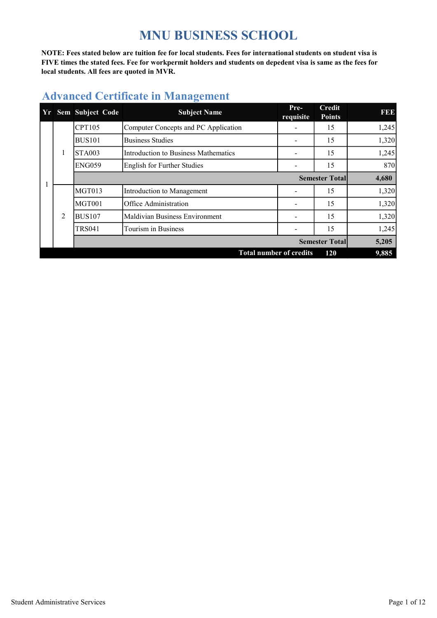# MNU BUSINESS SCHOOL

NOTE: Fees stated below are tuition fee for local students. Fees for international students on student visa is FIVE times the stated fees. Fee for workpermit holders and students on depedent visa is same as the fees for local students. All fees are quoted in MVR.

|   | Yr Sem Subject Code | <b>Subject Name</b>                  | Pre-<br>requisite | <b>Credit</b><br><b>Points</b> | 1990  |
|---|---------------------|--------------------------------------|-------------------|--------------------------------|-------|
|   | CPT105              | Computer Concepts and PC Application |                   | 15                             | 1,245 |
|   | <b>BUS101</b>       | <b>Business Studies</b>              |                   | 15                             | 1,320 |
| 1 | <b>STA003</b>       | Introduction to Business Mathematics |                   | 15                             | 1,245 |
|   | <b>ENG059</b>       | English for Further Studies          |                   | 15                             | 870   |
|   |                     |                                      |                   | <b>Semester Total</b>          | 4,680 |
|   | MGT013              | Introduction to Management           |                   | 15                             | 1,320 |
|   | MGT001              | Office Administration                |                   | 15                             | 1,320 |
| 2 | <b>BUS107</b>       | Maldivian Business Environment       |                   | 15                             | 1,320 |
|   | <b>TRS041</b>       | Tourism in Business                  |                   | 15                             | 1,245 |
|   |                     |                                      |                   | <b>Semester Total</b>          | 5,205 |
|   |                     | <b>Total number of credits</b>       |                   | 120                            | 9,885 |

# Advanced Certificate in Management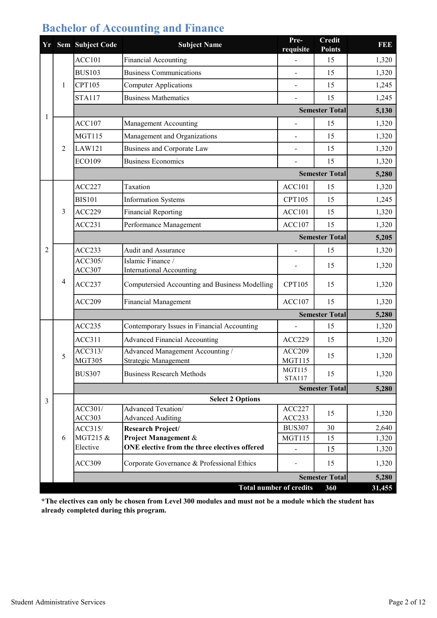| Yr |   | Sem Subject Code  | <b>Subject Name</b>                                  | Pre-<br>requisite              | <b>Credit</b><br><b>Points</b> | FEE    |
|----|---|-------------------|------------------------------------------------------|--------------------------------|--------------------------------|--------|
|    |   | ACC101            | Financial Accounting                                 |                                | 15                             | 1,320  |
|    |   | <b>BUS103</b>     | <b>Business Communications</b>                       |                                | 15                             | 1,320  |
|    | 1 | <b>CPT105</b>     | <b>Computer Applications</b>                         | L,                             | 15                             | 1,245  |
|    |   | <b>STA117</b>     | <b>Business Mathematics</b>                          | $\overline{a}$                 | 15                             | 1,245  |
| 1  |   |                   |                                                      |                                | <b>Semester Total</b>          | 5,130  |
|    |   | <b>ACC107</b>     | Management Accounting                                |                                | 15                             | 1,320  |
|    |   | <b>MGT115</b>     | Management and Organizations                         |                                | 15                             | 1,320  |
|    | 2 | <b>LAW121</b>     | <b>Business and Corporate Law</b>                    |                                | 15                             | 1,320  |
|    |   | <b>ECO109</b>     | <b>Business Economics</b>                            |                                | 15                             | 1,320  |
|    |   |                   |                                                      |                                | <b>Semester Total</b>          | 5,280  |
|    |   | ACC227            | Taxation                                             | ACC101                         | 15                             | 1,320  |
|    |   | <b>BIS101</b>     | <b>Information Systems</b>                           | CPT105                         | 15                             | 1,245  |
|    | 3 | <b>ACC229</b>     | <b>Financial Reporting</b>                           | <b>ACC101</b>                  | 15                             | 1,320  |
|    |   | ACC231            | Performance Management                               | ACC107                         | 15                             | 1,320  |
|    |   |                   |                                                      |                                | <b>Semester Total</b>          | 5,205  |
| 2  |   | ACC233            | Audit and Assurance                                  |                                | 15                             | 1,320  |
|    | 4 | ACC305/<br>ACC307 | Islamic Finance /<br><b>International Accounting</b> |                                | 15                             | 1,320  |
|    |   | ACC237            | Computersied Accounting and Business Modelling       | <b>CPT105</b>                  | 15                             | 1,320  |
|    |   | <b>ACC209</b>     | Financial Management                                 | ACC107                         | 15                             | 1,320  |
|    |   |                   |                                                      |                                | <b>Semester Total</b>          | 5,280  |
|    |   | ACC235            | Contemporary Issues in Financial Accounting          |                                | 15                             | 1,320  |
|    |   | ACC311            | <b>Advanced Financial Accounting</b>                 | ACC229                         | 15                             | 1,320  |
|    | 5 | ACC313/           | Advanced Management Accounting /                     | ACC209                         | 15                             | 1,320  |
|    |   | <b>MGT305</b>     | Strategic Management                                 | <b>MGT115</b><br><b>MGT115</b> |                                |        |
|    |   | <b>BUS307</b>     | <b>Business Research Methods</b>                     | <b>STA117</b>                  | 15                             | 1,320  |
|    |   |                   |                                                      |                                | <b>Semester Total</b>          | 5,280  |
| 3  |   | ACC301/           | <b>Select 2 Options</b><br>Advanced Texation/        | ACC227                         |                                |        |
|    |   | <b>ACC303</b>     | <b>Advanced Auditing</b>                             | ACC233                         | 15                             | 1,320  |
|    |   | ACC315/           | Research Project/                                    | <b>BUS307</b>                  | 30                             | 2,640  |
|    | 6 | MGT215 &          | <b>Project Management &amp;</b>                      | <b>MGT115</b>                  | 15                             | 1,320  |
|    |   | Elective          | ONE elective from the three electives offered        |                                | 15                             | 1,320  |
|    |   | <b>ACC309</b>     | Corporate Governance & Professional Ethics           |                                | 15                             | 1,320  |
|    |   |                   |                                                      |                                | <b>Semester Total</b>          | 5,280  |
|    |   |                   | <b>Total number of credits</b>                       |                                | 360                            | 31,455 |

\*The electives can only be chosen from Level 300 modules and must not be a module which the student has already completed during this program.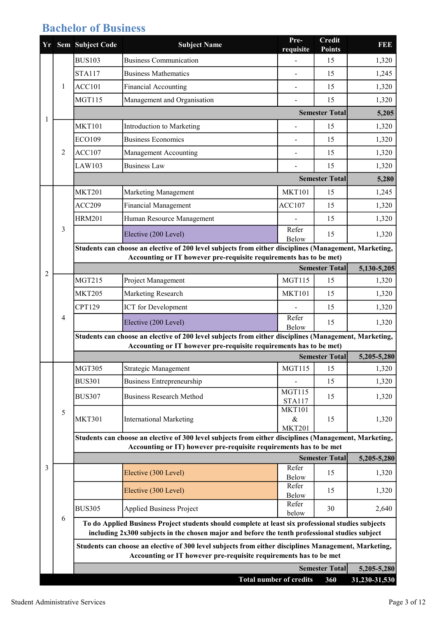## Bachelor of Business

|   |                | Yr Sem Subject Code                                                | <b>Subject Name</b>                                                                                                                                                                                  | Pre-<br>requisite              | <b>Credit</b><br><b>Points</b> | <b>BBB</b>        |
|---|----------------|--------------------------------------------------------------------|------------------------------------------------------------------------------------------------------------------------------------------------------------------------------------------------------|--------------------------------|--------------------------------|-------------------|
|   |                | <b>BUS103</b>                                                      | <b>Business Communication</b>                                                                                                                                                                        |                                | 15                             | 1,320             |
|   |                | <b>STA117</b>                                                      | <b>Business Mathematics</b>                                                                                                                                                                          |                                | 15                             | 1,245             |
|   | 1              | <b>ACC101</b>                                                      | Financial Accounting                                                                                                                                                                                 |                                | 15                             | 1,320             |
|   |                | <b>MGT115</b>                                                      | Management and Organisation                                                                                                                                                                          |                                | 15                             | 1,320             |
|   |                |                                                                    |                                                                                                                                                                                                      |                                | <b>Semester Total</b>          | 5,205             |
| 1 |                | <b>MKT101</b>                                                      | Introduction to Marketing                                                                                                                                                                            |                                | 15                             | 1,320             |
|   |                | <b>ECO109</b>                                                      | <b>Business Economics</b>                                                                                                                                                                            |                                | 15                             | 1,320             |
|   | 2              | ACC107                                                             | Management Accounting                                                                                                                                                                                | $\overline{a}$                 | 15                             | 1,320             |
|   |                | LAW103                                                             | <b>Business Law</b>                                                                                                                                                                                  |                                | 15                             | 1,320             |
|   |                |                                                                    |                                                                                                                                                                                                      |                                | <b>Semester Total</b>          | 5,280             |
|   |                | <b>MKT201</b>                                                      | Marketing Management                                                                                                                                                                                 | <b>MKT101</b>                  | 15                             | 1,245             |
|   |                | <b>ACC209</b>                                                      | Financial Management                                                                                                                                                                                 | ACC107                         | 15                             | 1,320             |
|   |                | <b>HRM201</b>                                                      | Human Resource Management                                                                                                                                                                            |                                | 15                             | 1,320             |
|   | 3              |                                                                    | Elective (200 Level)                                                                                                                                                                                 | Refer<br>Below                 | 15                             | 1,320             |
|   |                |                                                                    | Students can choose an elective of 200 level subjects from either disciplines (Management, Marketing,                                                                                                |                                |                                |                   |
|   |                | Accounting or IT however pre-requisite requirements has to be met) |                                                                                                                                                                                                      |                                |                                |                   |
| 2 |                |                                                                    |                                                                                                                                                                                                      |                                | <b>Semester Total</b>          | 5,130-5,205       |
|   |                | <b>MGT215</b>                                                      | Project Management                                                                                                                                                                                   | <b>MGT115</b>                  | 15                             | 1,320             |
|   |                | <b>MKT205</b>                                                      | Marketing Research                                                                                                                                                                                   | <b>MKT101</b>                  | 15                             | 1,320             |
|   | $\overline{4}$ | CPT129                                                             | <b>ICT</b> for Development                                                                                                                                                                           | Refer                          | 15                             | 1,320             |
|   |                |                                                                    | Elective (200 Level)                                                                                                                                                                                 | Below                          | 15                             | 1,320             |
|   |                |                                                                    | Students can choose an elective of 200 level subjects from either disciplines (Management, Marketing,<br>Accounting or IT however pre-requisite requirements has to be met)                          |                                |                                |                   |
|   |                | <b>Semester Total</b><br>5,205-5,280                               |                                                                                                                                                                                                      |                                |                                |                   |
|   |                | <b>MGT305</b>                                                      | Strategic Management                                                                                                                                                                                 | <b>MGT115</b>                  | 15                             | 1,320             |
|   |                | <b>BUS301</b>                                                      | <b>Business Entrepreneurship</b>                                                                                                                                                                     |                                | 15                             | 1,320             |
|   |                | <b>BUS307</b>                                                      | <b>Business Research Method</b>                                                                                                                                                                      | <b>MGT115</b>                  | 15                             | 1,320             |
|   |                |                                                                    |                                                                                                                                                                                                      | <b>STA117</b><br><b>MKT101</b> |                                |                   |
|   | 5              | <b>MKT301</b>                                                      | <b>International Marketing</b>                                                                                                                                                                       | &                              | 15                             | 1,320             |
|   |                |                                                                    | Students can choose an elective of 300 level subjects from either disciplines (Management, Marketing,                                                                                                | <b>MKT201</b>                  |                                |                   |
|   |                |                                                                    | Accounting or IT) however pre-requisite requirements has to be met                                                                                                                                   |                                |                                |                   |
|   |                |                                                                    |                                                                                                                                                                                                      |                                | <b>Semester Total</b>          | 5,205-5,280       |
| 3 |                |                                                                    | Elective (300 Level)                                                                                                                                                                                 | Refer<br>Below                 | 15                             | 1,320             |
|   |                |                                                                    | Elective (300 Level)                                                                                                                                                                                 | Refer                          | 15                             | 1,320             |
|   |                |                                                                    |                                                                                                                                                                                                      | Below<br>Refer                 |                                |                   |
|   | 6              | <b>BUS305</b>                                                      | <b>Applied Business Project</b>                                                                                                                                                                      | below                          | 30                             | 2,640             |
|   |                |                                                                    | To do Applied Business Project students should complete at least six professional studies subjects<br>including 2x300 subjects in the chosen major and before the tenth professional studies subject |                                |                                |                   |
|   |                |                                                                    | Students can choose an elective of 300 level subjects from either disciplines Management, Marketing,<br>Accounting or IT however pre-requisite requirements has to be met                            |                                |                                |                   |
|   |                |                                                                    |                                                                                                                                                                                                      |                                | <b>Semester Total</b>          | 5,205-5,280       |
|   |                |                                                                    | <b>Total number of credits</b>                                                                                                                                                                       |                                | 360                            | $31,230 - 31,530$ |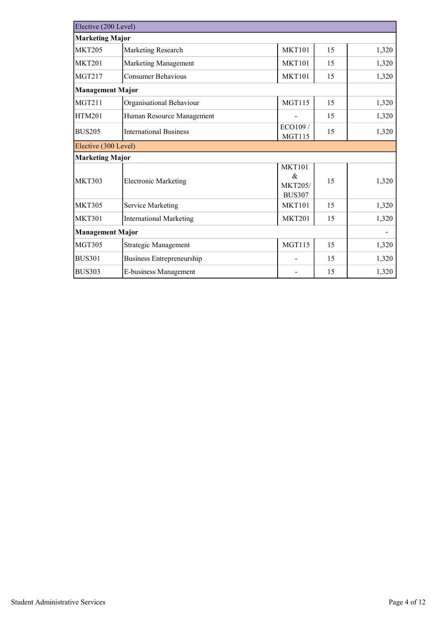| Elective (200 Level)    |                                  |                                                       |    |       |  |
|-------------------------|----------------------------------|-------------------------------------------------------|----|-------|--|
| <b>Marketing Major</b>  |                                  |                                                       |    |       |  |
| <b>MKT205</b>           | Marketing Research               | <b>MKT101</b>                                         | 15 | 1,320 |  |
| <b>MKT201</b>           | Marketing Management             | <b>MKT101</b>                                         | 15 | 1,320 |  |
| <b>MGT217</b>           | <b>Consumer Behavious</b>        | <b>MKT101</b>                                         | 15 | 1,320 |  |
| <b>Management Major</b> |                                  |                                                       |    |       |  |
| MGT211                  | Organisational Behaviour         | <b>MGT115</b>                                         | 15 | 1,320 |  |
| <b>HTM201</b>           | Human Resource Management        |                                                       | 15 | 1,320 |  |
| <b>BUS205</b>           | <b>International Business</b>    | ECO109 /<br><b>MGT115</b>                             | 15 | 1,320 |  |
| Elective (300 Level)    |                                  |                                                       |    |       |  |
| <b>Marketing Major</b>  |                                  |                                                       |    |       |  |
| <b>MKT303</b>           | <b>Electronic Marketing</b>      | <b>MKT101</b><br>&<br><b>MKT205/</b><br><b>BUS307</b> | 15 | 1,320 |  |
| <b>MKT305</b>           | Service Marketing                | <b>MKT101</b>                                         | 15 | 1,320 |  |
| <b>MKT301</b>           | <b>International Marketing</b>   | <b>MKT201</b>                                         | 15 | 1,320 |  |
| <b>Management Major</b> |                                  |                                                       |    |       |  |
| <b>MGT305</b>           | Strategic Management             | <b>MGT115</b>                                         | 15 | 1,320 |  |
| <b>BUS301</b>           | <b>Business Entrepreneurship</b> |                                                       | 15 | 1,320 |  |
| <b>BUS303</b>           | E-business Management            |                                                       | 15 | 1,320 |  |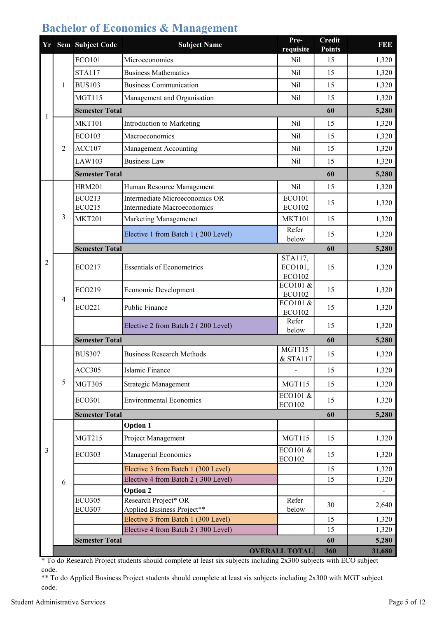#### Bachelor of Economics & Management

|   |   | Yr Sem Subject Code            | <b>Subject Name</b>                                | Pre-<br>requisite                | <b>Credit</b><br><b>Points</b> | FEE    |
|---|---|--------------------------------|----------------------------------------------------|----------------------------------|--------------------------------|--------|
|   |   | <b>ECO101</b>                  | Microeconomics                                     | Nil                              | 15                             | 1,320  |
|   |   | <b>STA117</b>                  | <b>Business Mathematics</b>                        | Nil                              | 15                             | 1,320  |
|   | 1 | <b>BUS103</b>                  | <b>Business Communication</b>                      | Nil                              | 15                             | 1,320  |
|   |   | <b>MGT115</b>                  | Management and Organisation                        | Nil                              | 15                             | 1,320  |
|   |   | <b>Semester Total</b>          |                                                    |                                  | 60                             | 5,280  |
| 1 |   | <b>MKT101</b>                  | Introduction to Marketing                          | Nil                              | 15                             | 1,320  |
|   |   | <b>ECO103</b>                  | Macroeconomics                                     | Nil                              | 15                             | 1,320  |
|   | 2 | ACC107                         | Management Accounting                              | Nil                              | 15                             | 1,320  |
|   |   | LAW103                         | <b>Business Law</b>                                | Nil                              | 15                             | 1,320  |
|   |   | <b>Semester Total</b>          |                                                    |                                  | 60                             | 5,280  |
|   |   | <b>HRM201</b>                  | Human Resource Management                          | Nil                              | 15                             | 1,320  |
|   |   | ECO213                         | Intermediate Microeconomics OR                     | <b>ECO101</b>                    | 15                             | 1,320  |
|   |   | ECO215                         | <b>Intermediate Macroeconomics</b>                 | <b>ECO102</b>                    |                                |        |
|   | 3 | <b>MKT201</b>                  | Marketing Managemenet                              | <b>MKT101</b>                    | 15                             | 1,320  |
|   |   |                                | Elective 1 from Batch 1 (200 Level)                | Refer<br>below                   | 15                             | 1,320  |
|   |   | <b>Semester Total</b>          |                                                    |                                  | 60                             | 5,280  |
| 2 | 4 | <b>ECO217</b>                  | <b>Essentials of Econometrics</b>                  | STA117,<br>ECO101,               | 15                             |        |
|   |   |                                |                                                    | ECO102                           |                                | 1,320  |
|   |   | <b>ECO219</b>                  | Economic Development                               | $ECO101$ &                       | 15                             | 1,320  |
|   |   |                                |                                                    | ECO102<br>ECO101 $\overline{\&}$ |                                |        |
|   |   | ECO221                         | <b>Public Finance</b>                              | <b>ECO102</b>                    | 15                             | 1,320  |
|   |   |                                | Elective 2 from Batch 2 (200 Level)                | Refer<br>below                   | 15                             | 1,320  |
|   |   | <b>Semester Total</b>          |                                                    |                                  | 60                             | 5,280  |
|   |   | <b>BUS307</b>                  | <b>Business Research Methods</b>                   | <b>MGT115</b>                    | 15                             | 1,320  |
|   |   | <b>ACC305</b>                  | Islamic Finance                                    | & STA117                         | 15                             | 1,320  |
|   | 5 | <b>MGT305</b>                  | Strategic Management                               | <b>MGT115</b>                    | 15                             | 1,320  |
|   |   |                                |                                                    | ECO101 &                         |                                |        |
|   |   | <b>ECO301</b>                  | <b>Environmental Economics</b>                     | <b>ECO102</b>                    | 15                             | 1,320  |
|   |   | <b>Semester Total</b>          |                                                    |                                  | 60                             | 5,280  |
|   |   |                                | <b>Option 1</b>                                    |                                  |                                |        |
|   |   | <b>MGT215</b>                  | Project Management                                 | <b>MGT115</b>                    | 15                             | 1,320  |
| 3 |   | <b>ECO303</b>                  | Managerial Economics                               | $ECO101$ &<br>ECO102             | 15                             | 1,320  |
|   |   |                                | Elective 3 from Batch 1 (300 Level)                |                                  | 15                             | 1,320  |
|   | 6 |                                | Elective 4 from Batch 2 (300 Level)                |                                  | 15                             | 1,320  |
|   |   |                                | <b>Option 2</b>                                    |                                  |                                |        |
|   |   | <b>ECO305</b><br><b>ECO307</b> | Research Project* OR<br>Applied Business Project** | Refer<br>below                   | 30                             | 2,640  |
|   |   |                                | Elective 3 from Batch 1 (300 Level)                |                                  | 15                             | 1,320  |
|   |   |                                | Elective 4 from Batch 2 (300 Level)                |                                  | 15                             | 1,320  |
|   |   | <b>Semester Total</b>          |                                                    |                                  | 60                             | 5,280  |
|   |   |                                |                                                    | <b>OVERALL TOTAL</b>             | 360                            | 31,680 |

\* To do Research Project students should complete at least six subjects including 2x300 subjects with ECO subject code.

\*\* To do Applied Business Project students should complete at least six subjects including 2x300 with MGT subject code.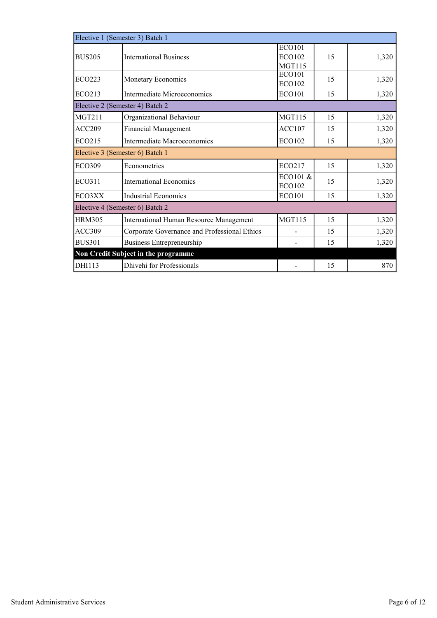|                                 | Elective 1 (Semester 3) Batch 1              |                                                 |    |       |  |  |  |  |
|---------------------------------|----------------------------------------------|-------------------------------------------------|----|-------|--|--|--|--|
| <b>BUS205</b>                   | <b>International Business</b>                | <b>ECO101</b><br><b>ECO102</b><br><b>MGT115</b> | 15 | 1,320 |  |  |  |  |
| ECO223                          | Monetary Economics                           | <b>ECO101</b><br><b>ECO102</b>                  | 15 | 1,320 |  |  |  |  |
| <b>ECO213</b>                   | Intermediate Microeconomics                  | <b>ECO101</b>                                   | 15 | 1,320 |  |  |  |  |
|                                 | Elective 2 (Semester 4) Batch 2              |                                                 |    |       |  |  |  |  |
| <b>MGT211</b>                   | Organizational Behaviour                     | <b>MGT115</b>                                   | 15 | 1,320 |  |  |  |  |
| ACC209                          | <b>Financial Management</b>                  | ACC107                                          | 15 | 1,320 |  |  |  |  |
| <b>ECO215</b>                   | Intermediate Macroeconomics                  | ECO102                                          | 15 | 1,320 |  |  |  |  |
| Elective 3 (Semester 6) Batch 1 |                                              |                                                 |    |       |  |  |  |  |
| <b>ECO309</b>                   | Econometrics                                 | <b>ECO217</b>                                   | 15 | 1,320 |  |  |  |  |
| ECO311                          | <b>International Economics</b>               | ECO101 &<br><b>ECO102</b>                       | 15 | 1,320 |  |  |  |  |
| ECO3XX                          | <b>Industrial Economics</b>                  | <b>ECO101</b>                                   | 15 | 1,320 |  |  |  |  |
|                                 | Elective 4 (Semester 6) Batch 2              |                                                 |    |       |  |  |  |  |
| <b>HRM305</b>                   | International Human Resource Management      | <b>MGT115</b>                                   | 15 | 1,320 |  |  |  |  |
| ACC309                          | Corporate Governance and Professional Ethics |                                                 | 15 | 1,320 |  |  |  |  |
| <b>BUS301</b>                   | <b>Business Entrepreneurship</b>             |                                                 | 15 | 1,320 |  |  |  |  |
|                                 | Non Credit Subject in the programme          |                                                 |    |       |  |  |  |  |
| DHI113                          | Dhivehi for Professionals                    |                                                 | 15 | 870   |  |  |  |  |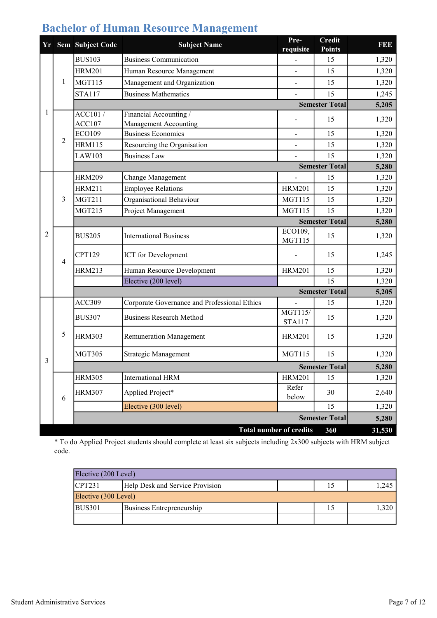|              |                | Yr Sem Subject Code | <b>Subject Name</b>                                | Pre-<br>requisite               | <b>Credit</b><br><b>Points</b> | FEE            |
|--------------|----------------|---------------------|----------------------------------------------------|---------------------------------|--------------------------------|----------------|
|              |                | <b>BUS103</b>       | <b>Business Communication</b>                      |                                 | 15                             | 1,320          |
|              |                | <b>HRM201</b>       | Human Resource Management                          |                                 | 15                             | 1,320          |
|              | 1              | <b>MGT115</b>       | Management and Organization                        |                                 | 15                             | 1,320          |
|              |                | <b>STA117</b>       | <b>Business Mathematics</b>                        |                                 | 15                             | 1,245          |
|              |                |                     |                                                    |                                 | <b>Semester Total</b>          | 5,205          |
| 1            |                | $\overline{ACC101}$ | Financial Accounting /                             |                                 | 15                             | 1,320          |
|              |                | ACC107              | Management Accounting                              |                                 |                                |                |
|              | 2              | <b>ECO109</b>       | <b>Business Economics</b>                          |                                 | 15                             | 1,320          |
|              |                | <b>HRM115</b>       | Resourcing the Organisation<br><b>Business Law</b> |                                 | 15<br>15                       | 1,320          |
|              |                | LAW103              |                                                    |                                 | <b>Semester Total</b>          | 1,320          |
|              |                | <b>HRM209</b>       | Change Management                                  |                                 | 15                             | 5,280<br>1,320 |
|              |                | <b>HRM211</b>       | <b>Employee Relations</b>                          | <b>HRM201</b>                   | 15                             | 1,320          |
|              | 3              | <b>MGT211</b>       | Organisational Behaviour                           | <b>MGT115</b>                   | 15                             | 1,320          |
|              |                | <b>MGT215</b>       | Project Management                                 | <b>MGT115</b>                   | 15                             | 1,320          |
|              |                |                     |                                                    |                                 | <b>Semester Total</b>          | 5,280          |
| 2            | $\overline{4}$ |                     | <b>International Business</b>                      | ECO109,                         |                                |                |
|              |                | <b>BUS205</b>       |                                                    | <b>MGT115</b>                   | 15                             | 1,320          |
|              |                | CPT129              | <b>ICT</b> for Development                         |                                 | 15                             | 1,245          |
|              |                | <b>HRM213</b>       | Human Resource Development                         | <b>HRM201</b>                   | 15                             | 1,320          |
|              |                |                     | Elective (200 level)                               |                                 | 15                             | 1,320          |
|              |                |                     |                                                    |                                 | <b>Semester Total</b>          | 5,205          |
|              |                | ACC309              | Corporate Governance and Professional Ethics       |                                 | 15                             | 1,320          |
|              |                | <b>BUS307</b>       | <b>Business Research Method</b>                    | <b>MGT115/</b><br><b>STA117</b> | 15                             | 1,320          |
|              | 5              | <b>HRM303</b>       | <b>Remuneration Management</b>                     | <b>HRM201</b>                   | 15                             | 1,320          |
| $\mathbf{3}$ |                | <b>MGT305</b>       | Strategic Management                               | <b>MGT115</b>                   | 15                             | 1,320          |
|              |                |                     |                                                    |                                 | <b>Semester Total</b>          | 5,280          |
|              |                | <b>HRM305</b>       | <b>International HRM</b>                           | <b>HRM201</b>                   | 15                             | 1,320          |
|              | 6              | <b>HRM307</b>       | Applied Project*                                   | Refer<br>below                  | 30                             | 2,640          |
|              |                |                     | Elective (300 level)                               |                                 | 15                             | 1,320          |
|              |                |                     |                                                    |                                 | <b>Semester Total</b>          | 5,280          |
|              |                |                     | <b>Total number of credits</b>                     |                                 | 360                            | 31,530         |

## Bachelor of Human Resource Management

\* To do Applied Project students should complete at least six subjects including 2x300 subjects with HRM subject code.

| Elective (200 Level) |                                          |  |  |       |  |  |  |
|----------------------|------------------------------------------|--|--|-------|--|--|--|
| <b>CPT231</b>        | Help Desk and Service Provision<br>1,245 |  |  |       |  |  |  |
| Elective (300 Level) |                                          |  |  |       |  |  |  |
| <b>BUS301</b>        | Business Entrepreneurship                |  |  | 1.320 |  |  |  |
|                      |                                          |  |  |       |  |  |  |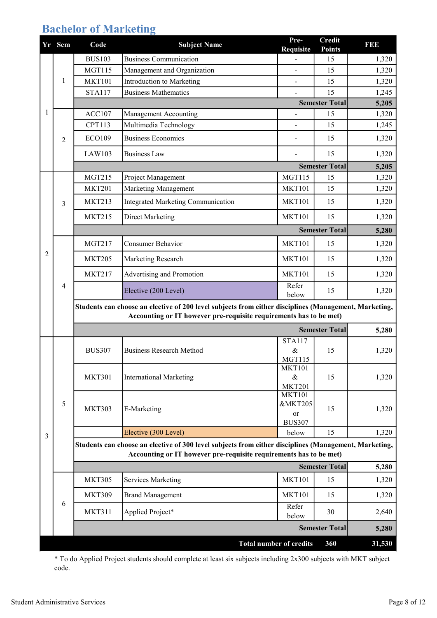# Bachelor of Marketing

|   | Yr Sem | Code          | <b>Subject Name</b>                                                                                                                                                         | Pre-<br><b>Requisite</b>       | <b>Credit</b><br><b>Points</b> | I 31 31 3 |
|---|--------|---------------|-----------------------------------------------------------------------------------------------------------------------------------------------------------------------------|--------------------------------|--------------------------------|-----------|
|   |        | <b>BUS103</b> | <b>Business Communication</b>                                                                                                                                               |                                | 15                             | 1,320     |
|   |        | <b>MGT115</b> | Management and Organization                                                                                                                                                 |                                | 15                             | 1,320     |
|   | 1      | <b>MKT101</b> | Introduction to Marketing                                                                                                                                                   | $\mathbf{r}$                   | 15                             | 1,320     |
|   |        | <b>STA117</b> | <b>Business Mathematics</b>                                                                                                                                                 |                                | 15                             | 1,245     |
|   |        |               |                                                                                                                                                                             |                                | <b>Semester Total</b>          | 5,205     |
| 1 |        | <b>ACC107</b> | <b>Management Accounting</b>                                                                                                                                                |                                | 15                             | 1,320     |
|   |        | CPT113        | Multimedia Technology                                                                                                                                                       |                                | 15                             | 1,245     |
|   | 2      | <b>ECO109</b> | <b>Business Economics</b>                                                                                                                                                   |                                | 15                             | 1,320     |
|   |        | LAW103        | <b>Business Law</b>                                                                                                                                                         |                                | 15                             | 1,320     |
|   |        |               |                                                                                                                                                                             |                                | <b>Semester Total</b>          | 5,205     |
|   |        | <b>MGT215</b> | Project Management                                                                                                                                                          | <b>MGT115</b>                  | 15                             | 1,320     |
|   |        | <b>MKT201</b> | Marketing Management                                                                                                                                                        | <b>MKT101</b>                  | 15                             | 1,320     |
|   | 3      | <b>MKT213</b> | Integrated Marketing Communication                                                                                                                                          | <b>MKT101</b>                  | 15                             | 1,320     |
|   |        | <b>MKT215</b> | <b>Direct Marketing</b>                                                                                                                                                     | <b>MKT101</b>                  | 15                             | 1,320     |
|   |        |               |                                                                                                                                                                             |                                | <b>Semester Total</b>          | 5,280     |
|   |        | <b>MGT217</b> | <b>Consumer Behavior</b>                                                                                                                                                    | <b>MKT101</b>                  | 15                             | 1,320     |
| 2 |        | <b>MKT205</b> | Marketing Research                                                                                                                                                          | <b>MKT101</b>                  | 15                             | 1,320     |
|   | 4      | <b>MKT217</b> | Advertising and Promotion                                                                                                                                                   | <b>MKT101</b>                  | 15                             | 1,320     |
|   |        |               | Elective (200 Level)                                                                                                                                                        | Refer<br>below                 | 15                             | 1,320     |
|   |        |               | Students can choose an elective of 200 level subjects from either disciplines (Management, Marketing,                                                                       |                                |                                |           |
|   |        |               | Accounting or IT however pre-requisite requirements has to be met)                                                                                                          |                                |                                |           |
|   |        |               |                                                                                                                                                                             |                                | <b>Semester Total</b>          | 5,280     |
|   |        |               | <b>Business Research Method</b>                                                                                                                                             | <b>STA117</b>                  |                                |           |
|   |        | <b>BUS307</b> |                                                                                                                                                                             | &<br><b>MGT115</b>             | 15                             | 1,320     |
|   |        |               |                                                                                                                                                                             | <b>MKT101</b>                  |                                |           |
|   |        | <b>MKT301</b> | <b>International Marketing</b>                                                                                                                                              | $\&$                           | 15                             | 1,320     |
|   |        |               |                                                                                                                                                                             | <b>MKT201</b><br><b>MKT101</b> |                                |           |
|   | 5      |               |                                                                                                                                                                             | <b>&amp;MKT205</b>             |                                |           |
|   |        | <b>MKT303</b> | E-Marketing                                                                                                                                                                 | or                             | 15                             | 1,320     |
|   |        |               |                                                                                                                                                                             | <b>BUS307</b>                  |                                |           |
| 3 |        |               | Elective (300 Level)                                                                                                                                                        | below                          | 15                             | 1,320     |
|   |        |               | Students can choose an elective of 300 level subjects from either disciplines (Management, Marketing,<br>Accounting or IT however pre-requisite requirements has to be met) |                                |                                |           |
|   |        |               |                                                                                                                                                                             |                                | <b>Semester Total</b>          | 5,280     |
|   |        | <b>MKT305</b> | <b>Services Marketing</b>                                                                                                                                                   | <b>MKT101</b>                  | 15                             | 1,320     |
|   |        |               |                                                                                                                                                                             |                                |                                |           |
|   | 6      | <b>MKT309</b> | <b>Brand Management</b>                                                                                                                                                     | <b>MKT101</b><br>Refer         | 15                             | 1,320     |
|   |        | <b>MKT311</b> | Applied Project*                                                                                                                                                            | below                          | 30                             | 2,640     |
|   |        |               |                                                                                                                                                                             |                                | <b>Semester Total</b>          | 5,280     |
|   |        |               | <b>Total number of credits</b>                                                                                                                                              |                                | 360                            | 31,530    |

\* To do Applied Project students should complete at least six subjects including 2x300 subjects with MKT subject code.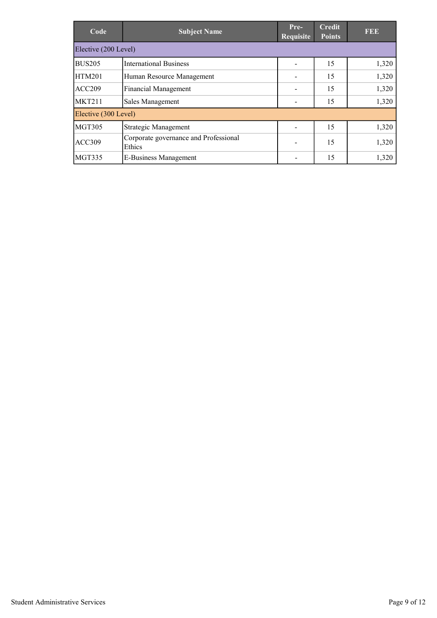| Code                 | <b>Subject Name</b>                             | $Pre-$<br>Requisite | <b>Credit</b><br><b>Points</b> | <b>FEE</b> |  |  |  |
|----------------------|-------------------------------------------------|---------------------|--------------------------------|------------|--|--|--|
| Elective (200 Level) |                                                 |                     |                                |            |  |  |  |
| <b>BUS205</b>        | <b>International Business</b>                   |                     | 15                             | 1,320      |  |  |  |
| <b>HTM201</b>        | Human Resource Management                       |                     | 15                             | 1,320      |  |  |  |
| ACC209               | <b>Financial Management</b>                     |                     | 15                             | 1,320      |  |  |  |
| <b>MKT211</b>        | Sales Management                                |                     | 15                             | 1,320      |  |  |  |
| Elective (300 Level) |                                                 |                     |                                |            |  |  |  |
| <b>MGT305</b>        | Strategic Management                            |                     | 15                             | 1,320      |  |  |  |
| <b>ACC309</b>        | Corporate governance and Professional<br>Ethics |                     | 15                             | 1,320      |  |  |  |
| <b>MGT335</b>        | E-Business Management                           |                     | 15                             | 1,320      |  |  |  |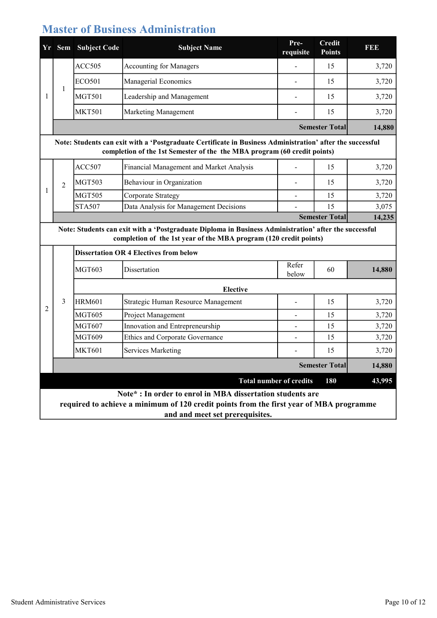#### Master of Business Administration

| <b>Yr</b> |                                                                                                                                                                                       | <b>Sem</b> Subject Code | <b>Subject Name</b>            | Pre-<br>requisite | Credit<br><b>Points</b> | <b>REB</b> |  |  |
|-----------|---------------------------------------------------------------------------------------------------------------------------------------------------------------------------------------|-------------------------|--------------------------------|-------------------|-------------------------|------------|--|--|
|           |                                                                                                                                                                                       | ACC505                  | <b>Accounting for Managers</b> |                   | 15                      | 3,720      |  |  |
|           |                                                                                                                                                                                       | ECO <sub>501</sub>      | Managerial Economics           |                   | 15                      | 3,720      |  |  |
|           |                                                                                                                                                                                       | MGT501                  | Leadership and Management      |                   | 15                      | 3,720      |  |  |
|           |                                                                                                                                                                                       | <b>MKT501</b>           | <b>Marketing Management</b>    |                   | 15                      | 3,720      |  |  |
|           |                                                                                                                                                                                       |                         |                                |                   | <b>Semester Total</b>   | 14,880     |  |  |
|           | Note: Students can exit with a 'Postgraduate Certificate in Business Administration' after the successful<br>completion of the 1st Semester of the the MBA program (60 credit points) |                         |                                |                   |                         |            |  |  |
|           |                                                                                                                                                                                       |                         |                                |                   |                         |            |  |  |

|  | <b>MGT503</b> | Behaviour in Organization              | 15                                                                                                                                                                                                                                              | 3,720 |
|--|---------------|----------------------------------------|-------------------------------------------------------------------------------------------------------------------------------------------------------------------------------------------------------------------------------------------------|-------|
|  | <b>MGT505</b> | Corporate Strategy                     |                                                                                                                                                                                                                                                 | 3,720 |
|  | <b>STA507</b> | Data Analysis for Management Decisions |                                                                                                                                                                                                                                                 | 3,075 |
|  |               |                                        | $C_{2}$ and $C_{3}$ and $C_{4}$ and $C_{5}$ and $C_{6}$ and $C_{7}$ and $C_{8}$ and $C_{9}$ and $C_{1}$ and $C_{1}$ and $C_{1}$ and $C_{1}$ and $C_{1}$ and $C_{1}$ and $C_{1}$ and $C_{1}$ and $C_{1}$ and $C_{1}$ and $C_{1}$ and $C_{1}$ and | 1.027 |

 14,235 Semester Total

Note: Students can exit with a 'Postgraduate Diploma in Business Administration' after the successful completion of the 1st year of the MBA program (120 credit points)

|                |   | <b>Dissertation OR 4 Electives from below</b> |                                                                                                                                                       |                                |                       |        |  |  |
|----------------|---|-----------------------------------------------|-------------------------------------------------------------------------------------------------------------------------------------------------------|--------------------------------|-----------------------|--------|--|--|
|                |   | MGT603                                        | Dissertation                                                                                                                                          | Refer<br>below                 | 60                    | 14,880 |  |  |
|                |   | <b>Elective</b>                               |                                                                                                                                                       |                                |                       |        |  |  |
|                | 3 | <b>HRM601</b>                                 | Strategic Human Resource Management                                                                                                                   |                                | 15                    | 3,720  |  |  |
| $\overline{2}$ |   | <b>MGT605</b>                                 | Project Management                                                                                                                                    |                                | 15                    | 3,720  |  |  |
|                |   | <b>MGT607</b>                                 | Innovation and Entrepreneurship                                                                                                                       |                                | 15                    | 3,720  |  |  |
|                |   | MGT609                                        | Ethics and Corporate Governance                                                                                                                       |                                | 15                    | 3,720  |  |  |
|                |   | <b>MKT601</b>                                 | <b>Services Marketing</b>                                                                                                                             |                                | 15                    | 3,720  |  |  |
|                |   |                                               |                                                                                                                                                       |                                | <b>Semester Total</b> | 14,880 |  |  |
|                |   |                                               |                                                                                                                                                       | <b>Total number of credits</b> | 180                   | 43,995 |  |  |
|                |   |                                               | Note* : In order to enrol in MBA dissertation students are<br>required to achieve a minimum of 120 credit points from the first year of MBA programme |                                |                       |        |  |  |

and and meet set prerequisites.

1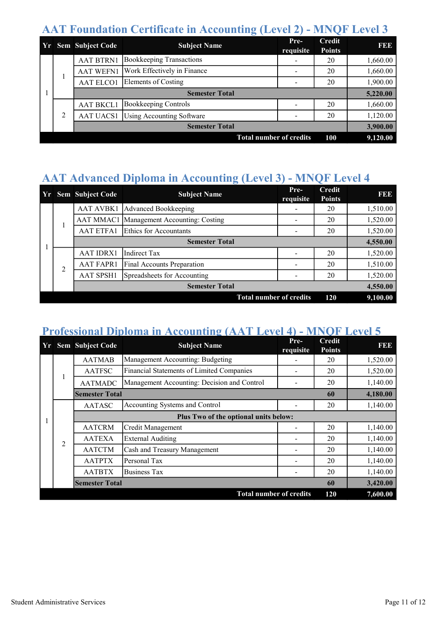## AAT Foundation Certificate in Accounting (Level 2) - MNQF Level 3

|                                              |   | <b>Yr</b> Sem Subject Code | <b>Subject Name</b>              | Pre-<br>requisite | <b>Credit</b><br><b>Points</b> | <b>BBB</b> |
|----------------------------------------------|---|----------------------------|----------------------------------|-------------------|--------------------------------|------------|
|                                              |   | <b>AAT BTRN1</b>           | <b>Bookkeeping Transactions</b>  |                   | 20                             | 1,660.00   |
|                                              |   | <b>AAT WEFN1</b>           | Work Effectively in Finance      |                   | 20                             | 1,660.00   |
|                                              |   | <b>AAT ELCO1</b>           | Elements of Costing              |                   | 20                             | 1,900.00   |
|                                              |   |                            | 5,220.00                         |                   |                                |            |
|                                              | 2 | <b>AAT BKCL1</b>           | <b>Bookkeeping Controls</b>      |                   | 20                             | 1,660.00   |
|                                              |   | <b>AAT UACS1</b>           | <b>Using Accounting Software</b> |                   | 20                             | 1,120.00   |
|                                              |   | <b>Semester Total</b>      |                                  |                   |                                | 3,900.00   |
| <b>Total number of credits</b><br><b>100</b> |   |                            |                                  |                   |                                | 9,120.00   |

# AAT Advanced Diploma in Accounting (Level 3) - MNQF Level 4

|                                       |    | Yr Sem Subject Code | <b>Subject Name</b>                      | Pre-<br>requisite | <b>Credit</b><br><b>Points</b> | <b>RBB</b>                  |  |    |          |
|---------------------------------------|----|---------------------|------------------------------------------|-------------------|--------------------------------|-----------------------------|--|----|----------|
|                                       |    | <b>AAT AVBK1</b>    | Advanced Bookkeeping                     |                   | 20                             | 1,510.00                    |  |    |          |
|                                       |    |                     | AAT MMAC1 Management Accounting: Costing |                   | 20                             | 1,520.00                    |  |    |          |
|                                       | Τ. | <b>AAT ETFA1</b>    | Ethics for Accountants                   |                   | 20                             | 1,520.00                    |  |    |          |
|                                       |    |                     | <b>Semester Total</b>                    |                   |                                | 4,550.00                    |  |    |          |
|                                       |    | <b>AAT IDRX1</b>    | <b>Indirect Tax</b>                      |                   | 20                             | 1,520.00                    |  |    |          |
|                                       | 2  | <b>AAT FAPR1</b>    | Final Accounts Preparation               |                   | 20                             | 1,510.00                    |  |    |          |
|                                       |    |                     |                                          |                   | <b>AAT SPSH1</b>               | Spreadsheets for Accounting |  | 20 | 1,520.00 |
|                                       |    |                     | <b>Semester Total</b>                    |                   |                                | 4,550.00                    |  |    |          |
| <b>Total number of credits</b><br>120 |    |                     |                                          |                   |                                | 9,100.00                    |  |    |          |

#### Professional Diploma in Accounting (AAT Level 4) - MNQF Level 5

|  |                | <b>Yr</b> Sem Subject Code | <b>Subject Name</b>                         | Pre-<br>requisite | <b>Credit</b><br><b>Points</b> | FEE      |
|--|----------------|----------------------------|---------------------------------------------|-------------------|--------------------------------|----------|
|  | 1              | <b>AATMAB</b>              | Management Accounting: Budgeting            |                   | 20                             | 1,520.00 |
|  |                | <b>AATFSC</b>              | Financial Statements of Limited Companies   |                   | 20                             | 1,520.00 |
|  |                | <b>AATMADC</b>             | Management Accounting: Decision and Control |                   | 20                             | 1,140.00 |
|  |                | <b>Semester Total</b>      |                                             |                   | 60                             | 4,180.00 |
|  | $\overline{2}$ | <b>AATASC</b>              | Accounting Systems and Control              |                   | 20                             | 1,140.00 |
|  |                |                            | Plus Two of the optional units below:       |                   |                                |          |
|  |                | <b>AATCRM</b>              | Credit Management                           |                   | 20                             | 1,140.00 |
|  |                | <b>AATEXA</b>              | <b>External Auditing</b>                    |                   | 20                             | 1,140.00 |
|  |                | <b>AATCTM</b>              | Cash and Treasury Management                |                   | 20                             | 1,140.00 |
|  |                | <b>AATPTX</b>              | Personal Tax                                |                   | 20                             | 1,140.00 |
|  |                | <b>AATBTX</b>              | <b>Business Tax</b>                         |                   | 20                             | 1,140.00 |
|  |                | <b>Semester Total</b>      |                                             |                   | 60                             | 3,420.00 |
|  |                |                            | <b>Total number of credits</b>              |                   | 120                            | 7,600.00 |